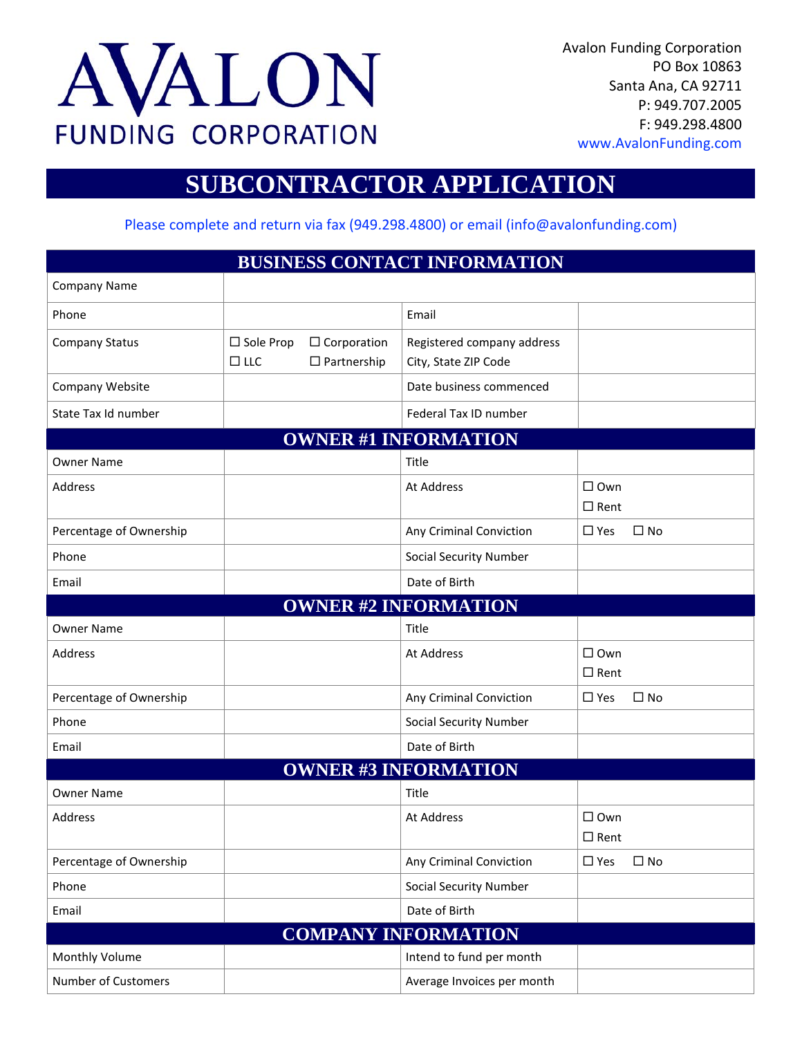

Avalon Funding Corporation PO Box 10863 Santa Ana, CA 92711 P: 949.707.2005 F: 949.298.4800 www.AvalonFunding.com

# **SUBCONTRACTOR APPLICATION**

Please complete and return via fax (949.298.4800) or email [\(info@avalonfunding.com\)](mailto:info@avalonfunding.com))

| <b>BUSINESS CONTACT INFORMATION</b> |                                |                                          |                                                    |                                 |              |  |
|-------------------------------------|--------------------------------|------------------------------------------|----------------------------------------------------|---------------------------------|--------------|--|
| <b>Company Name</b>                 |                                |                                          |                                                    |                                 |              |  |
| Phone                               |                                |                                          | Email                                              |                                 |              |  |
| <b>Company Status</b>               | $\Box$ Sole Prop<br>$\Box$ LLC | $\Box$ Corporation<br>$\Box$ Partnership | Registered company address<br>City, State ZIP Code |                                 |              |  |
| Company Website                     |                                |                                          | Date business commenced                            |                                 |              |  |
| State Tax Id number                 |                                |                                          | Federal Tax ID number                              |                                 |              |  |
| <b>OWNER #1 INFORMATION</b>         |                                |                                          |                                                    |                                 |              |  |
| <b>Owner Name</b>                   |                                |                                          | Title                                              |                                 |              |  |
| Address                             |                                |                                          | At Address                                         | $\Box$ Own<br>$\Box$ Rent       |              |  |
| Percentage of Ownership             |                                |                                          | Any Criminal Conviction                            | $\square$ Yes                   | $\Box$ No    |  |
| Phone                               |                                |                                          | <b>Social Security Number</b>                      |                                 |              |  |
| Email                               |                                |                                          | Date of Birth                                      |                                 |              |  |
|                                     |                                |                                          | <b>OWNER #2 INFORMATION</b>                        |                                 |              |  |
| <b>Owner Name</b>                   |                                |                                          | Title                                              |                                 |              |  |
| Address                             |                                |                                          | At Address                                         | $\square$ Own<br>$\Box$ Rent    |              |  |
| Percentage of Ownership             |                                |                                          | Any Criminal Conviction                            | $\Box$ Yes                      | $\square$ No |  |
| Phone                               |                                |                                          | Social Security Number                             |                                 |              |  |
| Email                               |                                |                                          | Date of Birth                                      |                                 |              |  |
| <b>OWNER #3 INFORMATION</b>         |                                |                                          |                                                    |                                 |              |  |
| <b>Owner Name</b>                   |                                |                                          | Title                                              |                                 |              |  |
| <b>Address</b>                      |                                |                                          | <b>At Address</b>                                  | $\square$ Own<br>$\square$ Rent |              |  |
| Percentage of Ownership             |                                |                                          | Any Criminal Conviction                            | $\square$ Yes                   | $\Box$ No    |  |
| Phone                               |                                |                                          | Social Security Number                             |                                 |              |  |
| Email                               |                                |                                          | Date of Birth                                      |                                 |              |  |
| <b>COMPANY INFORMATION</b>          |                                |                                          |                                                    |                                 |              |  |
| Monthly Volume                      |                                |                                          | Intend to fund per month                           |                                 |              |  |
| Number of Customers                 |                                |                                          | Average Invoices per month                         |                                 |              |  |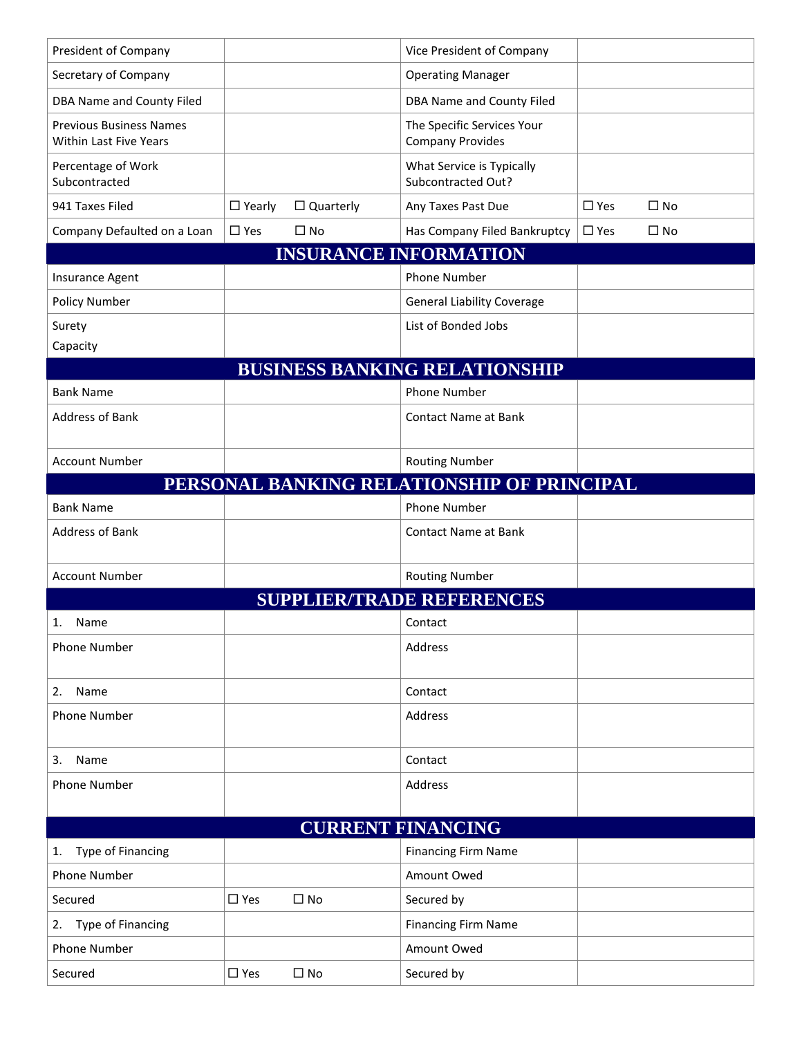| President of Company                                            |               |                  | Vice President of Company                             |               |              |  |
|-----------------------------------------------------------------|---------------|------------------|-------------------------------------------------------|---------------|--------------|--|
| Secretary of Company                                            |               |                  | <b>Operating Manager</b>                              |               |              |  |
| DBA Name and County Filed                                       |               |                  | DBA Name and County Filed                             |               |              |  |
| <b>Previous Business Names</b><br><b>Within Last Five Years</b> |               |                  | The Specific Services Your<br><b>Company Provides</b> |               |              |  |
| Percentage of Work<br>Subcontracted                             |               |                  | What Service is Typically<br>Subcontracted Out?       |               |              |  |
| 941 Taxes Filed                                                 | $\Box$ Yearly | $\Box$ Quarterly | Any Taxes Past Due                                    | $\square$ Yes | $\square$ No |  |
| Company Defaulted on a Loan                                     | $\square$ Yes | $\Box$ No        | Has Company Filed Bankruptcy                          | $\square$ Yes | $\square$ No |  |
|                                                                 |               |                  | <b>INSURANCE INFORMATION</b>                          |               |              |  |
| Insurance Agent                                                 |               |                  | <b>Phone Number</b>                                   |               |              |  |
| <b>Policy Number</b>                                            |               |                  | <b>General Liability Coverage</b>                     |               |              |  |
| Surety                                                          |               |                  | List of Bonded Jobs                                   |               |              |  |
| Capacity                                                        |               |                  |                                                       |               |              |  |
|                                                                 |               |                  | <b>BUSINESS BANKING RELATIONSHIP</b>                  |               |              |  |
| <b>Bank Name</b>                                                |               |                  | <b>Phone Number</b>                                   |               |              |  |
| <b>Address of Bank</b>                                          |               |                  | <b>Contact Name at Bank</b>                           |               |              |  |
|                                                                 |               |                  |                                                       |               |              |  |
| <b>Account Number</b>                                           |               |                  | <b>Routing Number</b>                                 |               |              |  |
|                                                                 |               |                  | PERSONAL BANKING RELATIONSHIP OF PRINCIPAL            |               |              |  |
| <b>Bank Name</b>                                                |               |                  | <b>Phone Number</b>                                   |               |              |  |
| Address of Bank                                                 |               |                  | <b>Contact Name at Bank</b>                           |               |              |  |
| <b>Account Number</b>                                           |               |                  | <b>Routing Number</b>                                 |               |              |  |
|                                                                 |               |                  | <b>SUPPLIER/TRADE REFERENCES</b>                      |               |              |  |
| Name                                                            |               |                  | Contact                                               |               |              |  |
| <b>Phone Number</b>                                             |               |                  | Address                                               |               |              |  |
| Name<br>2.                                                      |               |                  | Contact                                               |               |              |  |
| Phone Number                                                    |               |                  | Address                                               |               |              |  |
|                                                                 |               |                  |                                                       |               |              |  |
| Name<br>3.                                                      |               |                  | Contact                                               |               |              |  |
| <b>Phone Number</b>                                             |               |                  | Address                                               |               |              |  |
|                                                                 |               |                  |                                                       |               |              |  |
| <b>CURRENT FINANCING</b>                                        |               |                  |                                                       |               |              |  |
| Type of Financing<br>1.                                         |               |                  | <b>Financing Firm Name</b>                            |               |              |  |
| <b>Phone Number</b>                                             |               |                  | Amount Owed                                           |               |              |  |
| Secured                                                         | $\square$ Yes | $\square$ No     | Secured by                                            |               |              |  |
| <b>Type of Financing</b><br>2.                                  |               |                  | <b>Financing Firm Name</b>                            |               |              |  |
| <b>Phone Number</b>                                             |               |                  |                                                       |               |              |  |
|                                                                 |               |                  | Amount Owed                                           |               |              |  |